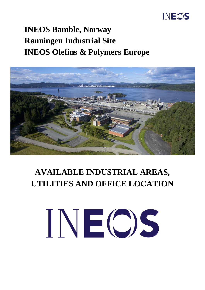#### **INEOS**

### **INEOS Bamble, Norway Rønningen Industrial Site INEOS Olefins & Polymers Europe**



## **AVAILABLE INDUSTRIAL AREAS, UTILITIES AND OFFICE LOCATION**

# INEOS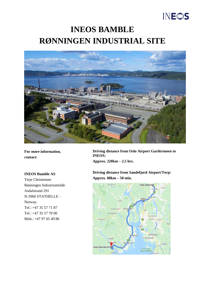### INEOS

#### **INEOS BAMBLE RØNNINGEN INDUSTRIAL SITE**



**For more information, contact:**

**INEOS Bamble AS** Terje Christensen Rønningen Industriområde Asdalstrand 291 N-3960 STATHELLE – Norway Tel.: +47 35 57 71 87 Tel.: +47 35 57 70 00 Mob.: +47 97 65 49 86

**Driving distance from Oslo Airport Gardermoen to INEOS: Approx. 220km – 2.5 hrs.**

**Driving distance from Sandefjord Airport/Torp: Approx. 80km – 50 min.**

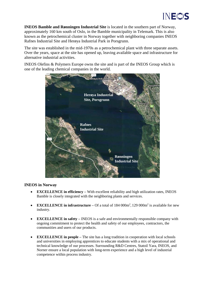

**INEOS Bamble and Rønningen Industrial Site** is located in the southern part of Norway, approximately 160 km south of Oslo, in the Bamble municipality in Telemark. This is also known as the petrochemical cluster in Norway together with neighboring companies INEOS Rafnes Industrial Site and Herøya Industrial Park in Porsgrunn.

The site was established in the mid-1970s as a petrochemical plant with three separate assets. Over the years, space at the site has opened up, leaving available space and infrastructure for alternative industrial activities.

INEOS Olefins & Polymers Europe owns the site and is part of the INEOS Group which is one of the leading chemical companies in the world.



#### **INEOS in Norway**

- **EXCELLENCE in efficiency** With excellent reliability and high utilization rates, INEOS Bamble is closely integrated with the neighboring plants and services.
- **EXCELLENCE in infrastructure** Of a total of 184 000m<sup>2</sup>, 129 000m<sup>2</sup> is available for new industry.
- **EXCELLENCE in safety** INEOS is a safe and environmentally responsible company with ongoing commitment to protect the health and safety of our employees, contractors, the communities and users of our products.
- **EXCELLENCE in people** The site has a long tradition in cooperation with local schools and universities in employing apprentices to educate students with a mix of operational and technical knowledge of our processes. Surrounding R&D Centres, Statoil Yara, INEOS, and Norner ensure a local population with long-term experience and a high level of industrial competence within process industry.